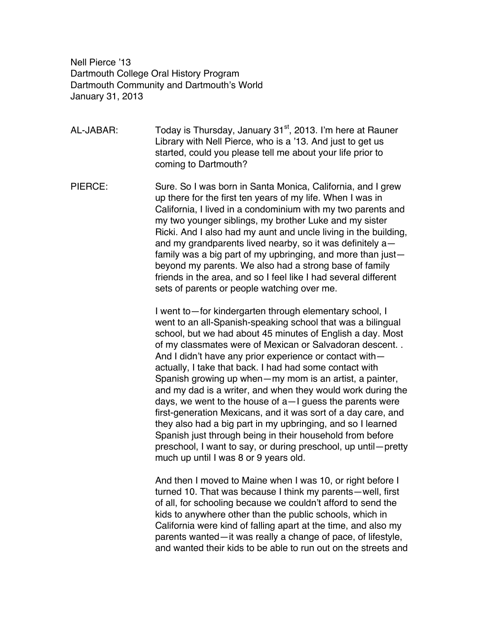Nell Pierce '13 Dartmouth College Oral History Program Dartmouth Community and Dartmouth's World January 31, 2013

AL-JABAR: Today is Thursday, January  $31<sup>st</sup>$ , 2013. I'm here at Rauner Library with Nell Pierce, who is a '13. And just to get us started, could you please tell me about your life prior to coming to Dartmouth?

PIERCE: Sure. So I was born in Santa Monica, California, and I grew up there for the first ten years of my life. When I was in California, I lived in a condominium with my two parents and my two younger siblings, my brother Luke and my sister Ricki. And I also had my aunt and uncle living in the building, and my grandparents lived nearby, so it was definitely a family was a big part of my upbringing, and more than just beyond my parents. We also had a strong base of family friends in the area, and so I feel like I had several different sets of parents or people watching over me.

> I went to—for kindergarten through elementary school, I went to an all-Spanish-speaking school that was a bilingual school, but we had about 45 minutes of English a day. Most of my classmates were of Mexican or Salvadoran descent. . And I didn't have any prior experience or contact with actually, I take that back. I had had some contact with Spanish growing up when—my mom is an artist, a painter, and my dad is a writer, and when they would work during the days, we went to the house of a—I guess the parents were first-generation Mexicans, and it was sort of a day care, and they also had a big part in my upbringing, and so I learned Spanish just through being in their household from before preschool, I want to say, or during preschool, up until—pretty much up until I was 8 or 9 years old.

> And then I moved to Maine when I was 10, or right before I turned 10. That was because I think my parents—well, first of all, for schooling because we couldn't afford to send the kids to anywhere other than the public schools, which in California were kind of falling apart at the time, and also my parents wanted—it was really a change of pace, of lifestyle, and wanted their kids to be able to run out on the streets and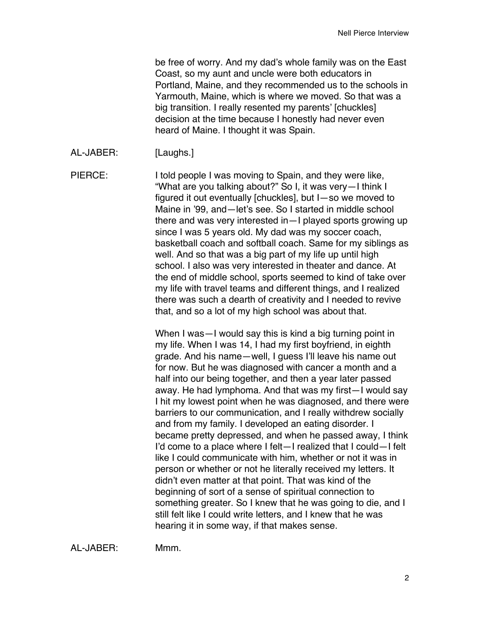be free of worry. And my dad's whole family was on the East Coast, so my aunt and uncle were both educators in Portland, Maine, and they recommended us to the schools in Yarmouth, Maine, which is where we moved. So that was a big transition. I really resented my parents' [chuckles] decision at the time because I honestly had never even heard of Maine. I thought it was Spain.

AL-JABER: [Laughs.]

PIERCE: I told people I was moving to Spain, and they were like, "What are you talking about?" So I, it was very—I think I figured it out eventually [chuckles], but I—so we moved to Maine in '99, and—let's see. So I started in middle school there and was very interested in—I played sports growing up since I was 5 years old. My dad was my soccer coach, basketball coach and softball coach. Same for my siblings as well. And so that was a big part of my life up until high school. I also was very interested in theater and dance. At the end of middle school, sports seemed to kind of take over my life with travel teams and different things, and I realized there was such a dearth of creativity and I needed to revive that, and so a lot of my high school was about that.

> When I was—I would say this is kind a big turning point in my life. When I was 14, I had my first boyfriend, in eighth grade. And his name—well, I guess I'll leave his name out for now. But he was diagnosed with cancer a month and a half into our being together, and then a year later passed away. He had lymphoma. And that was my first—I would say I hit my lowest point when he was diagnosed, and there were barriers to our communication, and I really withdrew socially and from my family. I developed an eating disorder. I became pretty depressed, and when he passed away, I think I'd come to a place where I felt—I realized that I could—I felt like I could communicate with him, whether or not it was in person or whether or not he literally received my letters. It didn't even matter at that point. That was kind of the beginning of sort of a sense of spiritual connection to something greater. So I knew that he was going to die, and I still felt like I could write letters, and I knew that he was hearing it in some way, if that makes sense.

AL-JABER: Mmm.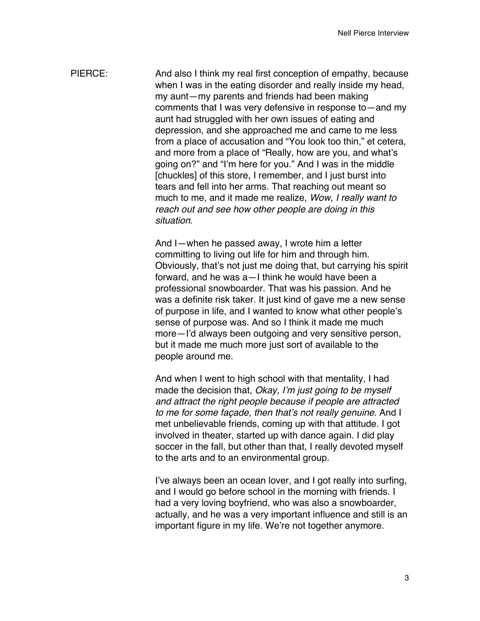PIERCE: And also I think my real first conception of empathy, because when I was in the eating disorder and really inside my head, my aunt—my parents and friends had been making comments that I was very defensive in response to—and my aunt had struggled with her own issues of eating and depression, and she approached me and came to me less from a place of accusation and "You look too thin," et cetera, and more from a place of "Really, how are you, and what's going on?" and "I'm here for you." And I was in the middle [chuckles] of this store, I remember, and I just burst into tears and fell into her arms. That reaching out meant so much to me, and it made me realize, *Wow, I really want to reach out and see how other people are doing in this situation*.

> And I—when he passed away, I wrote him a letter committing to living out life for him and through him. Obviously, that's not just me doing that, but carrying his spirit forward, and he was a—I think he would have been a professional snowboarder. That was his passion. And he was a definite risk taker. It just kind of gave me a new sense of purpose in life, and I wanted to know what other people's sense of purpose was. And so I think it made me much more—I'd always been outgoing and very sensitive person, but it made me much more just sort of available to the people around me.

And when I went to high school with that mentality, I had made the decision that, *Okay, I'm just going to be myself and attract the right people because if people are attracted to me for some façade, then that's not really genuine*. And I met unbelievable friends, coming up with that attitude. I got involved in theater, started up with dance again. I did play soccer in the fall, but other than that, I really devoted myself to the arts and to an environmental group.

I've always been an ocean lover, and I got really into surfing, and I would go before school in the morning with friends. I had a very loving boyfriend, who was also a snowboarder, actually, and he was a very important influence and still is an important figure in my life. We're not together anymore.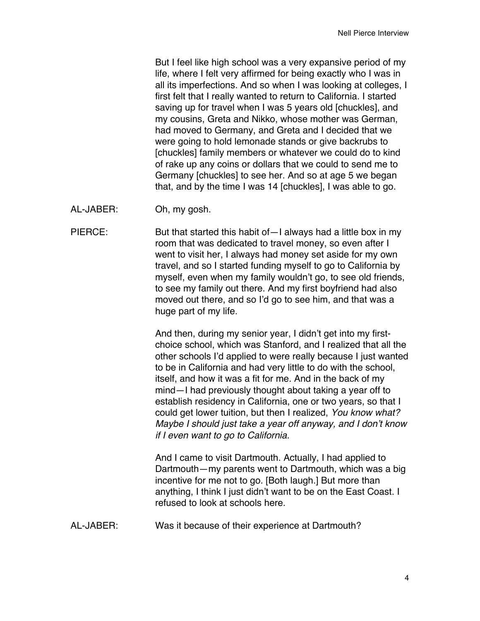But I feel like high school was a very expansive period of my life, where I felt very affirmed for being exactly who I was in all its imperfections. And so when I was looking at colleges, I first felt that I really wanted to return to California. I started saving up for travel when I was 5 years old [chuckles], and my cousins, Greta and Nikko, whose mother was German, had moved to Germany, and Greta and I decided that we were going to hold lemonade stands or give backrubs to [chuckles] family members or whatever we could do to kind of rake up any coins or dollars that we could to send me to Germany [chuckles] to see her. And so at age 5 we began that, and by the time I was 14 [chuckles], I was able to go.

AL-JABER: Oh, my gosh.

PIERCE: But that started this habit of - I always had a little box in my room that was dedicated to travel money, so even after I went to visit her, I always had money set aside for my own travel, and so I started funding myself to go to California by myself, even when my family wouldn't go, to see old friends, to see my family out there. And my first boyfriend had also moved out there, and so I'd go to see him, and that was a huge part of my life.

> And then, during my senior year, I didn't get into my firstchoice school, which was Stanford, and I realized that all the other schools I'd applied to were really because I just wanted to be in California and had very little to do with the school, itself, and how it was a fit for me. And in the back of my mind—I had previously thought about taking a year off to establish residency in California, one or two years, so that I could get lower tuition, but then I realized, *You know what? Maybe I should just take a year off anyway, and I don't know if I even want to go to California.*

> And I came to visit Dartmouth. Actually, I had applied to Dartmouth—my parents went to Dartmouth, which was a big incentive for me not to go. [Both laugh.] But more than anything, I think I just didn't want to be on the East Coast. I refused to look at schools here.

AL-JABER: Was it because of their experience at Dartmouth?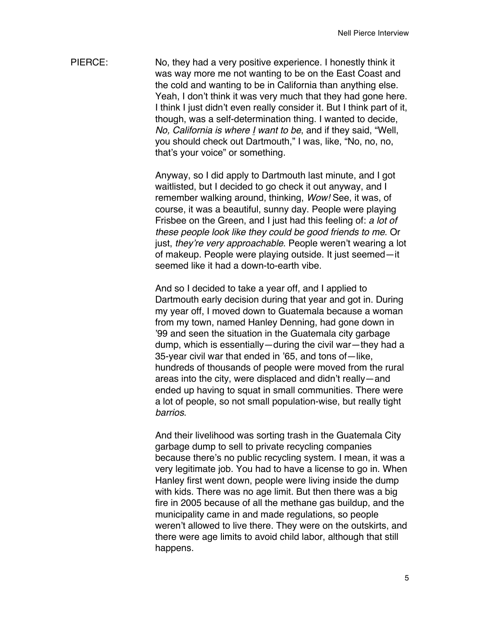PIERCE: No, they had a very positive experience. I honestly think it was way more me not wanting to be on the East Coast and the cold and wanting to be in California than anything else. Yeah, I don't think it was very much that they had gone here. I think I just didn't even really consider it. But I think part of it, though, was a self-determination thing. I wanted to decide, *No, California is where I want to be*, and if they said, "Well, you should check out Dartmouth," I was, like, "No, no, no, that's your voice" or something.

> Anyway, so I did apply to Dartmouth last minute, and I got waitlisted, but I decided to go check it out anyway, and I remember walking around, thinking, *Wow!* See, it was, of course, it was a beautiful, sunny day. People were playing Frisbee on the Green, and I just had this feeling of: *a lot of these people look like they could be good friends to me*. Or just, *they're very approachable*. People weren't wearing a lot of makeup. People were playing outside. It just seemed—it seemed like it had a down-to-earth vibe.

> And so I decided to take a year off, and I applied to Dartmouth early decision during that year and got in. During my year off, I moved down to Guatemala because a woman from my town, named Hanley Denning, had gone down in '99 and seen the situation in the Guatemala city garbage dump, which is essentially—during the civil war—they had a 35-year civil war that ended in '65, and tons of—like, hundreds of thousands of people were moved from the rural areas into the city, were displaced and didn't really—and ended up having to squat in small communities. There were a lot of people, so not small population-wise, but really tight *barrios*.

> And their livelihood was sorting trash in the Guatemala City garbage dump to sell to private recycling companies because there's no public recycling system. I mean, it was a very legitimate job. You had to have a license to go in. When Hanley first went down, people were living inside the dump with kids. There was no age limit. But then there was a big fire in 2005 because of all the methane gas buildup, and the municipality came in and made regulations, so people weren't allowed to live there. They were on the outskirts, and there were age limits to avoid child labor, although that still happens.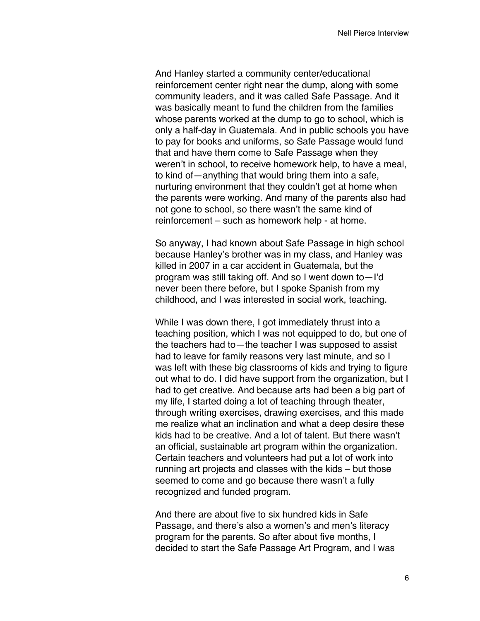And Hanley started a community center/educational reinforcement center right near the dump, along with some community leaders, and it was called Safe Passage. And it was basically meant to fund the children from the families whose parents worked at the dump to go to school, which is only a half-day in Guatemala. And in public schools you have to pay for books and uniforms, so Safe Passage would fund that and have them come to Safe Passage when they weren't in school, to receive homework help, to have a meal, to kind of—anything that would bring them into a safe, nurturing environment that they couldn't get at home when the parents were working. And many of the parents also had not gone to school, so there wasn't the same kind of reinforcement – such as homework help - at home.

So anyway, I had known about Safe Passage in high school because Hanley's brother was in my class, and Hanley was killed in 2007 in a car accident in Guatemala, but the program was still taking off. And so I went down to—I'd never been there before, but I spoke Spanish from my childhood, and I was interested in social work, teaching.

While I was down there, I got immediately thrust into a teaching position, which I was not equipped to do, but one of the teachers had to—the teacher I was supposed to assist had to leave for family reasons very last minute, and so I was left with these big classrooms of kids and trying to figure out what to do. I did have support from the organization, but I had to get creative. And because arts had been a big part of my life, I started doing a lot of teaching through theater, through writing exercises, drawing exercises, and this made me realize what an inclination and what a deep desire these kids had to be creative. And a lot of talent. But there wasn't an official, sustainable art program within the organization. Certain teachers and volunteers had put a lot of work into running art projects and classes with the kids – but those seemed to come and go because there wasn't a fully recognized and funded program.

And there are about five to six hundred kids in Safe Passage, and there's also a women's and men's literacy program for the parents. So after about five months, I decided to start the Safe Passage Art Program, and I was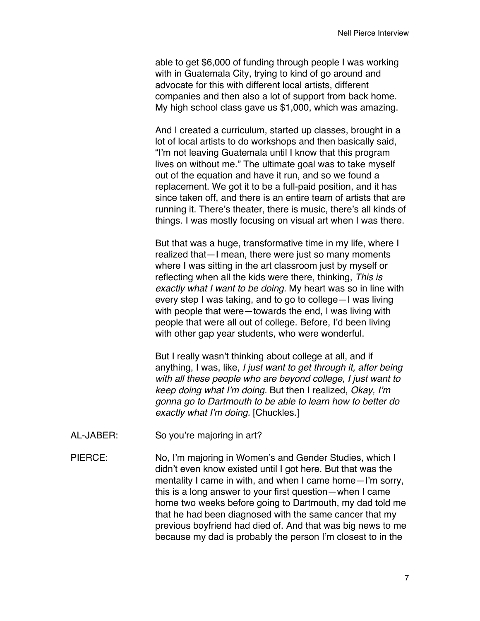able to get \$6,000 of funding through people I was working with in Guatemala City, trying to kind of go around and advocate for this with different local artists, different companies and then also a lot of support from back home. My high school class gave us \$1,000, which was amazing.

And I created a curriculum, started up classes, brought in a lot of local artists to do workshops and then basically said, "I'm not leaving Guatemala until I know that this program lives on without me." The ultimate goal was to take myself out of the equation and have it run, and so we found a replacement. We got it to be a full-paid position, and it has since taken off, and there is an entire team of artists that are running it. There's theater, there is music, there's all kinds of things. I was mostly focusing on visual art when I was there.

But that was a huge, transformative time in my life, where I realized that—I mean, there were just so many moments where I was sitting in the art classroom just by myself or reflecting when all the kids were there, thinking, *This is exactly what I want to be doing.* My heart was so in line with every step I was taking, and to go to college—I was living with people that were—towards the end, I was living with people that were all out of college. Before, I'd been living with other gap year students, who were wonderful.

But I really wasn't thinking about college at all, and if anything, I was, like, *I just want to get through it, after being with all these people who are beyond college, I just want to keep doing what I'm doing.* But then I realized, *Okay, I'm gonna go to Dartmouth to be able to learn how to better do exactly what I'm doing.* [Chuckles.]

- AL-JABER: So you're majoring in art?
- PIERCE: No, I'm majoring in Women's and Gender Studies, which I didn't even know existed until I got here. But that was the mentality I came in with, and when I came home—I'm sorry, this is a long answer to your first question—when I came home two weeks before going to Dartmouth, my dad told me that he had been diagnosed with the same cancer that my previous boyfriend had died of. And that was big news to me because my dad is probably the person I'm closest to in the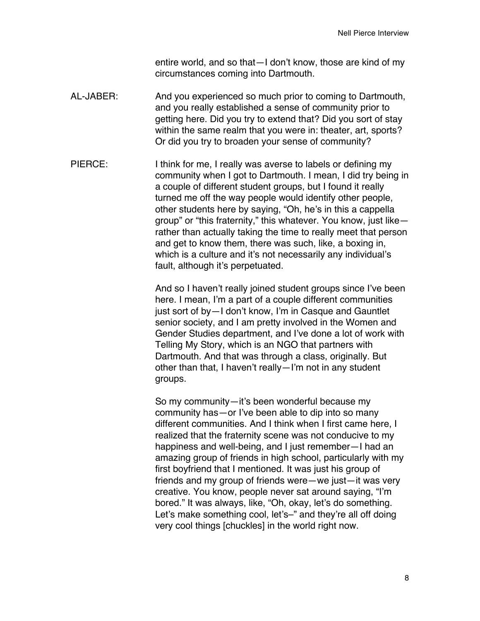entire world, and so that—I don't know, those are kind of my circumstances coming into Dartmouth.

- AL-JABER: And you experienced so much prior to coming to Dartmouth, and you really established a sense of community prior to getting here. Did you try to extend that? Did you sort of stay within the same realm that you were in: theater, art, sports? Or did you try to broaden your sense of community?
- PIERCE: I think for me, I really was averse to labels or defining my community when I got to Dartmouth. I mean, I did try being in a couple of different student groups, but I found it really turned me off the way people would identify other people, other students here by saying, "Oh, he's in this a cappella group" or "this fraternity," this whatever. You know, just like rather than actually taking the time to really meet that person and get to know them, there was such, like, a boxing in, which is a culture and it's not necessarily any individual's fault, although it's perpetuated.

And so I haven't really joined student groups since I've been here. I mean, I'm a part of a couple different communities just sort of by—I don't know, I'm in Casque and Gauntlet senior society, and I am pretty involved in the Women and Gender Studies department, and I've done a lot of work with Telling My Story, which is an NGO that partners with Dartmouth. And that was through a class, originally. But other than that, I haven't really—I'm not in any student groups.

So my community—it's been wonderful because my community has—or I've been able to dip into so many different communities. And I think when I first came here, I realized that the fraternity scene was not conducive to my happiness and well-being, and I just remember—I had an amazing group of friends in high school, particularly with my first boyfriend that I mentioned. It was just his group of friends and my group of friends were—we just—it was very creative. You know, people never sat around saying, "I'm bored." It was always, like, "Oh, okay, let's do something. Let's make something cool, let's–" and they're all off doing very cool things [chuckles] in the world right now.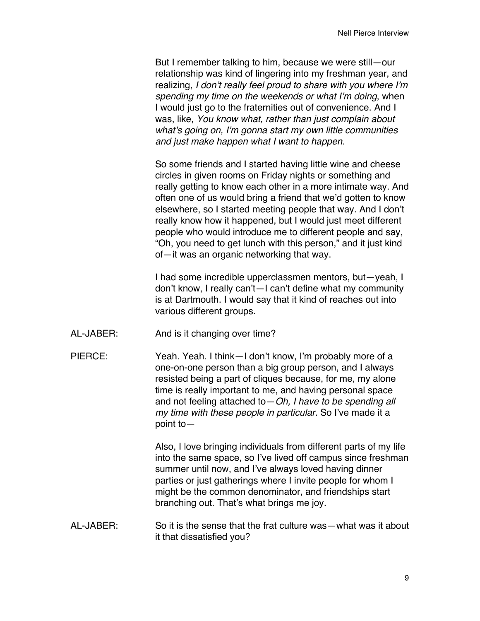But I remember talking to him, because we were still—our relationship was kind of lingering into my freshman year, and realizing, *I don't really feel proud to share with you where I'm spending my time on the weekends or what I'm doing*, when I would just go to the fraternities out of convenience. And I was, like, *You know what, rather than just complain about what's going on, I'm gonna start my own little communities and just make happen what I want to happen.*

So some friends and I started having little wine and cheese circles in given rooms on Friday nights or something and really getting to know each other in a more intimate way. And often one of us would bring a friend that we'd gotten to know elsewhere, so I started meeting people that way. And I don't really know how it happened, but I would just meet different people who would introduce me to different people and say, "Oh, you need to get lunch with this person," and it just kind of—it was an organic networking that way.

I had some incredible upperclassmen mentors, but—yeah, I don't know, I really can't—I can't define what my community is at Dartmouth. I would say that it kind of reaches out into various different groups.

- AL-JABER: And is it changing over time?
- PIERCE: Yeah. Yeah. I think—I don't know, I'm probably more of a one-on-one person than a big group person, and I always resisted being a part of cliques because, for me, my alone time is really important to me, and having personal space and not feeling attached to—*Oh, I have to be spending all my time with these people in particular.* So I've made it a point to—

Also, I love bringing individuals from different parts of my life into the same space, so I've lived off campus since freshman summer until now, and I've always loved having dinner parties or just gatherings where I invite people for whom I might be the common denominator, and friendships start branching out. That's what brings me joy.

AL-JABER: So it is the sense that the frat culture was—what was it about it that dissatisfied you?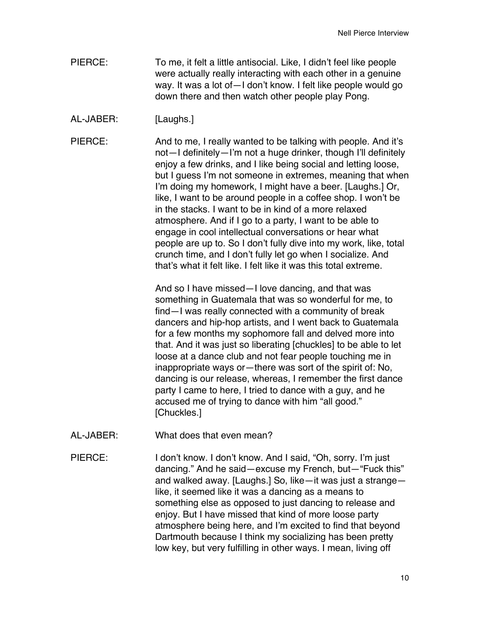- PIERCE: To me, it felt a little antisocial. Like, I didn't feel like people were actually really interacting with each other in a genuine way. It was a lot of—I don't know. I felt like people would go down there and then watch other people play Pong.
- AL-JABER: [Laughs.]

PIERCE: And to me, I really wanted to be talking with people. And it's not—I definitely—I'm not a huge drinker, though I'll definitely enjoy a few drinks, and I like being social and letting loose, but I guess I'm not someone in extremes, meaning that when I'm doing my homework, I might have a beer. [Laughs.] Or, like, I want to be around people in a coffee shop. I won't be in the stacks. I want to be in kind of a more relaxed atmosphere. And if I go to a party, I want to be able to engage in cool intellectual conversations or hear what people are up to. So I don't fully dive into my work, like, total crunch time, and I don't fully let go when I socialize. And that's what it felt like. I felt like it was this total extreme.

> And so I have missed—I love dancing, and that was something in Guatemala that was so wonderful for me, to find—I was really connected with a community of break dancers and hip-hop artists, and I went back to Guatemala for a few months my sophomore fall and delved more into that. And it was just so liberating [chuckles] to be able to let loose at a dance club and not fear people touching me in inappropriate ways or—there was sort of the spirit of: No, dancing is our release, whereas, I remember the first dance party I came to here, I tried to dance with a guy, and he accused me of trying to dance with him "all good." [Chuckles.]

AL-JABER: What does that even mean?

PIERCE: I don't know. I don't know. And I said, "Oh, sorry. I'm just dancing." And he said—excuse my French, but—"Fuck this" and walked away. [Laughs.] So, like—it was just a strange like, it seemed like it was a dancing as a means to something else as opposed to just dancing to release and enjoy. But I have missed that kind of more loose party atmosphere being here, and I'm excited to find that beyond Dartmouth because I think my socializing has been pretty low key, but very fulfilling in other ways. I mean, living off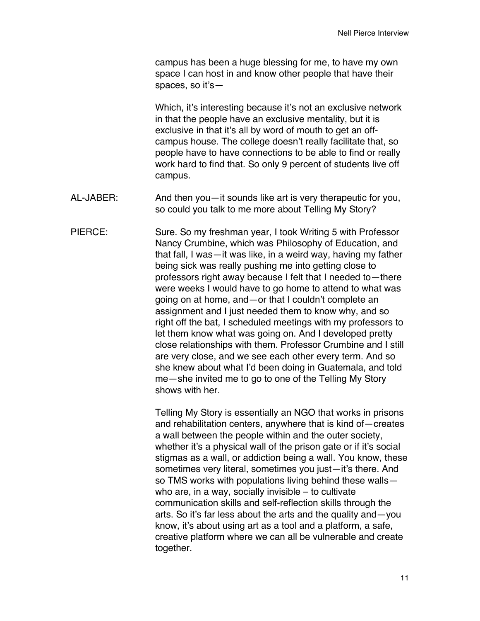campus has been a huge blessing for me, to have my own space I can host in and know other people that have their spaces, so it's—

Which, it's interesting because it's not an exclusive network in that the people have an exclusive mentality, but it is exclusive in that it's all by word of mouth to get an offcampus house. The college doesn't really facilitate that, so people have to have connections to be able to find or really work hard to find that. So only 9 percent of students live off campus.

AL-JABER: And then you—it sounds like art is very therapeutic for you, so could you talk to me more about Telling My Story?

PIERCE: Sure. So my freshman year, I took Writing 5 with Professor Nancy Crumbine, which was Philosophy of Education, and that fall, I was—it was like, in a weird way, having my father being sick was really pushing me into getting close to professors right away because I felt that I needed to—there were weeks I would have to go home to attend to what was going on at home, and—or that I couldn't complete an assignment and I just needed them to know why, and so right off the bat, I scheduled meetings with my professors to let them know what was going on. And I developed pretty close relationships with them. Professor Crumbine and I still are very close, and we see each other every term. And so she knew about what I'd been doing in Guatemala, and told me—she invited me to go to one of the Telling My Story shows with her.

> Telling My Story is essentially an NGO that works in prisons and rehabilitation centers, anywhere that is kind of—creates a wall between the people within and the outer society, whether it's a physical wall of the prison gate or if it's social stigmas as a wall, or addiction being a wall. You know, these sometimes very literal, sometimes you just—it's there. And so TMS works with populations living behind these walls who are, in a way, socially invisible – to cultivate communication skills and self-reflection skills through the arts. So it's far less about the arts and the quality and—you know, it's about using art as a tool and a platform, a safe, creative platform where we can all be vulnerable and create together.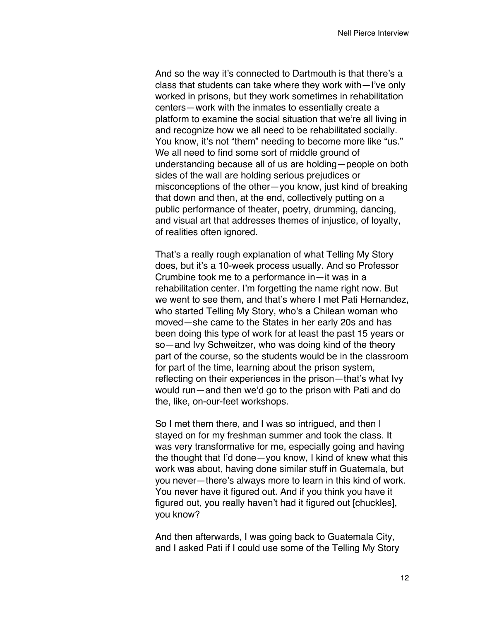And so the way it's connected to Dartmouth is that there's a class that students can take where they work with—I've only worked in prisons, but they work sometimes in rehabilitation centers—work with the inmates to essentially create a platform to examine the social situation that we're all living in and recognize how we all need to be rehabilitated socially. You know, it's not "them" needing to become more like "us." We all need to find some sort of middle ground of understanding because all of us are holding—people on both sides of the wall are holding serious prejudices or misconceptions of the other—you know, just kind of breaking that down and then, at the end, collectively putting on a public performance of theater, poetry, drumming, dancing, and visual art that addresses themes of injustice, of loyalty, of realities often ignored.

That's a really rough explanation of what Telling My Story does, but it's a 10-week process usually. And so Professor Crumbine took me to a performance in—it was in a rehabilitation center. I'm forgetting the name right now. But we went to see them, and that's where I met Pati Hernandez, who started Telling My Story, who's a Chilean woman who moved—she came to the States in her early 20s and has been doing this type of work for at least the past 15 years or so—and Ivy Schweitzer, who was doing kind of the theory part of the course, so the students would be in the classroom for part of the time, learning about the prison system, reflecting on their experiences in the prison—that's what Ivy would run—and then we'd go to the prison with Pati and do the, like, on-our-feet workshops.

So I met them there, and I was so intrigued, and then I stayed on for my freshman summer and took the class. It was very transformative for me, especially going and having the thought that I'd done—you know, I kind of knew what this work was about, having done similar stuff in Guatemala, but you never—there's always more to learn in this kind of work. You never have it figured out. And if you think you have it figured out, you really haven't had it figured out [chuckles], you know?

And then afterwards, I was going back to Guatemala City, and I asked Pati if I could use some of the Telling My Story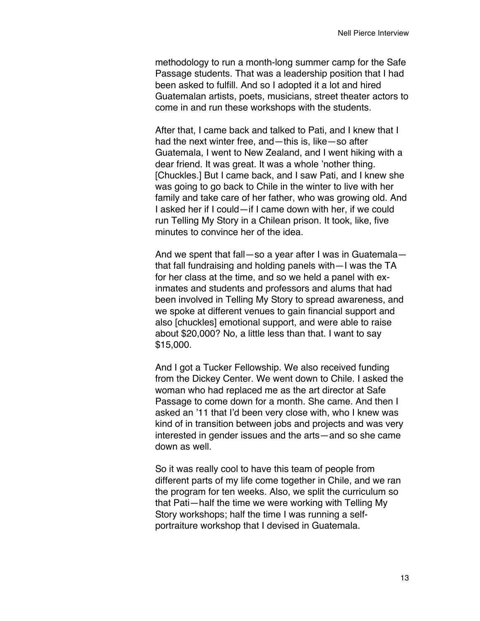methodology to run a month-long summer camp for the Safe Passage students. That was a leadership position that I had been asked to fulfill. And so I adopted it a lot and hired Guatemalan artists, poets, musicians, street theater actors to come in and run these workshops with the students.

After that, I came back and talked to Pati, and I knew that I had the next winter free, and—this is, like—so after Guatemala, I went to New Zealand, and I went hiking with a dear friend. It was great. It was a whole 'nother thing. [Chuckles.] But I came back, and I saw Pati, and I knew she was going to go back to Chile in the winter to live with her family and take care of her father, who was growing old. And I asked her if I could—if I came down with her, if we could run Telling My Story in a Chilean prison. It took, like, five minutes to convince her of the idea.

And we spent that fall—so a year after I was in Guatemala that fall fundraising and holding panels with—I was the TA for her class at the time, and so we held a panel with exinmates and students and professors and alums that had been involved in Telling My Story to spread awareness, and we spoke at different venues to gain financial support and also [chuckles] emotional support, and were able to raise about \$20,000? No, a little less than that. I want to say \$15,000.

And I got a Tucker Fellowship. We also received funding from the Dickey Center. We went down to Chile. I asked the woman who had replaced me as the art director at Safe Passage to come down for a month. She came. And then I asked an '11 that I'd been very close with, who I knew was kind of in transition between jobs and projects and was very interested in gender issues and the arts—and so she came down as well.

So it was really cool to have this team of people from different parts of my life come together in Chile, and we ran the program for ten weeks. Also, we split the curriculum so that Pati—half the time we were working with Telling My Story workshops; half the time I was running a selfportraiture workshop that I devised in Guatemala.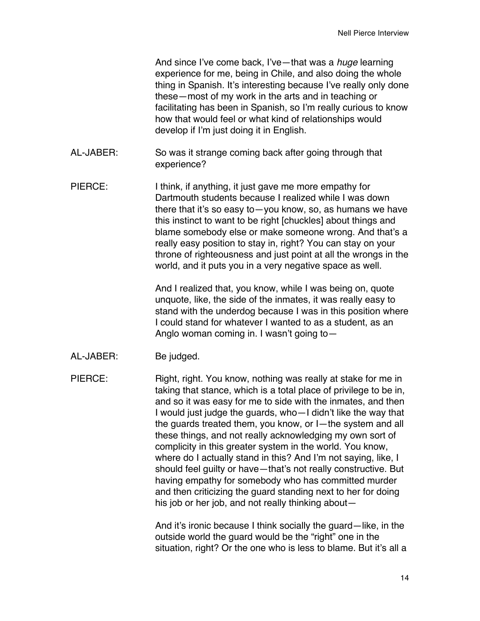And since I've come back, I've—that was a *huge* learning experience for me, being in Chile, and also doing the whole thing in Spanish. It's interesting because I've really only done these—most of my work in the arts and in teaching or facilitating has been in Spanish, so I'm really curious to know how that would feel or what kind of relationships would develop if I'm just doing it in English.

- AL-JABER: So was it strange coming back after going through that experience?
- PIERCE: I think, if anything, it just gave me more empathy for Dartmouth students because I realized while I was down there that it's so easy to—you know, so, as humans we have this instinct to want to be right [chuckles] about things and blame somebody else or make someone wrong. And that's a really easy position to stay in, right? You can stay on your throne of righteousness and just point at all the wrongs in the world, and it puts you in a very negative space as well.

And I realized that, you know, while I was being on, quote unquote, like, the side of the inmates, it was really easy to stand with the underdog because I was in this position where I could stand for whatever I wanted to as a student, as an Anglo woman coming in. I wasn't going to—

AL-JABER: Be judged.

PIERCE: Right, right. You know, nothing was really at stake for me in taking that stance, which is a total place of privilege to be in, and so it was easy for me to side with the inmates, and then I would just judge the guards, who—I didn't like the way that the guards treated them, you know, or I—the system and all these things, and not really acknowledging my own sort of complicity in this greater system in the world. You know, where do I actually stand in this? And I'm not saying, like, I should feel guilty or have—that's not really constructive. But having empathy for somebody who has committed murder and then criticizing the guard standing next to her for doing his job or her job, and not really thinking about—

> And it's ironic because I think socially the guard—like, in the outside world the guard would be the "right" one in the situation, right? Or the one who is less to blame. But it's all a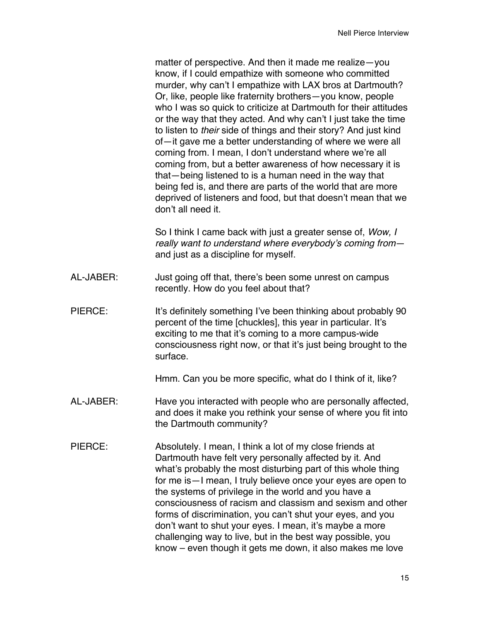matter of perspective. And then it made me realize—you know, if I could empathize with someone who committed murder, why can't I empathize with LAX bros at Dartmouth? Or, like, people like fraternity brothers—you know, people who I was so quick to criticize at Dartmouth for their attitudes or the way that they acted. And why can't I just take the time to listen to *their* side of things and their story? And just kind of—it gave me a better understanding of where we were all coming from. I mean, I don't understand where we're all coming from, but a better awareness of how necessary it is that—being listened to is a human need in the way that being fed is, and there are parts of the world that are more deprived of listeners and food, but that doesn't mean that we don't all need it.

So I think I came back with just a greater sense of, *Wow, I really want to understand where everybody's coming from* and just as a discipline for myself.

- AL-JABER: Just going off that, there's been some unrest on campus recently. How do you feel about that?
- PIERCE: It's definitely something I've been thinking about probably 90 percent of the time [chuckles], this year in particular. It's exciting to me that it's coming to a more campus-wide consciousness right now, or that it's just being brought to the surface.

Hmm. Can you be more specific, what do I think of it, like?

- AL-JABER: Have you interacted with people who are personally affected, and does it make you rethink your sense of where you fit into the Dartmouth community?
- PIERCE: Absolutely. I mean, I think a lot of my close friends at Dartmouth have felt very personally affected by it. And what's probably the most disturbing part of this whole thing for me is—I mean, I truly believe once your eyes are open to the systems of privilege in the world and you have a consciousness of racism and classism and sexism and other forms of discrimination, you can't shut your eyes, and you don't want to shut your eyes. I mean, it's maybe a more challenging way to live, but in the best way possible, you know – even though it gets me down, it also makes me love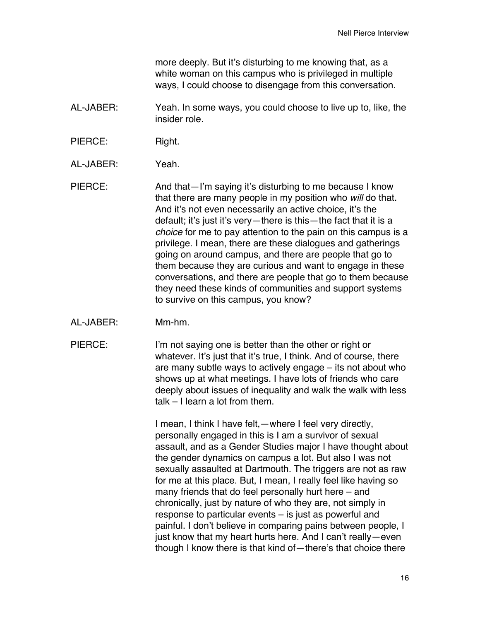more deeply. But it's disturbing to me knowing that, as a white woman on this campus who is privileged in multiple ways, I could choose to disengage from this conversation.

- AL-JABER: Yeah. In some ways, you could choose to live up to, like, the insider role.
- PIERCE: Right.
- AL-JABER: Yeah.
- PIERCE: And that—I'm saying it's disturbing to me because I know that there are many people in my position who *will* do that. And it's not even necessarily an active choice, it's the default; it's just it's very—there is this—the fact that it is a *choice* for me to pay attention to the pain on this campus is a privilege. I mean, there are these dialogues and gatherings going on around campus, and there are people that go to them because they are curious and want to engage in these conversations, and there are people that go to them because they need these kinds of communities and support systems to survive on this campus, you know?
- AL-JABER: Mm-hm.
- PIERCE: I'm not saying one is better than the other or right or whatever. It's just that it's true, I think. And of course, there are many subtle ways to actively engage – its not about who shows up at what meetings. I have lots of friends who care deeply about issues of inequality and walk the walk with less talk – I learn a lot from them.

I mean, I think I have felt,—where I feel very directly, personally engaged in this is I am a survivor of sexual assault, and as a Gender Studies major I have thought about the gender dynamics on campus a lot. But also I was not sexually assaulted at Dartmouth. The triggers are not as raw for me at this place. But, I mean, I really feel like having so many friends that do feel personally hurt here – and chronically, just by nature of who they are, not simply in response to particular events – is just as powerful and painful. I don't believe in comparing pains between people, I just know that my heart hurts here. And I can't really—even though I know there is that kind of—there's that choice there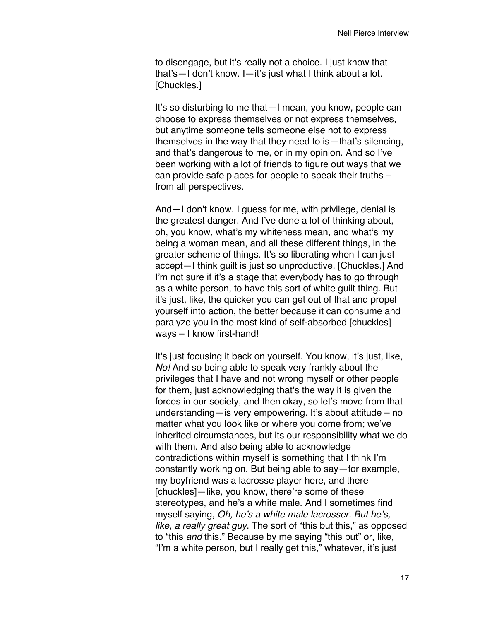to disengage, but it's really not a choice. I just know that that's—I don't know. I—it's just what I think about a lot. [Chuckles.]

It's so disturbing to me that—I mean, you know, people can choose to express themselves or not express themselves, but anytime someone tells someone else not to express themselves in the way that they need to is—that's silencing, and that's dangerous to me, or in my opinion. And so I've been working with a lot of friends to figure out ways that we can provide safe places for people to speak their truths – from all perspectives.

And—I don't know. I guess for me, with privilege, denial is the greatest danger. And I've done a lot of thinking about, oh, you know, what's my whiteness mean, and what's my being a woman mean, and all these different things, in the greater scheme of things. It's so liberating when I can just accept—I think guilt is just so unproductive. [Chuckles.] And I'm not sure if it's a stage that everybody has to go through as a white person, to have this sort of white guilt thing. But it's just, like, the quicker you can get out of that and propel yourself into action, the better because it can consume and paralyze you in the most kind of self-absorbed [chuckles] ways – I know first-hand!

It's just focusing it back on yourself. You know, it's just, like, *No!* And so being able to speak very frankly about the privileges that I have and not wrong myself or other people for them, just acknowledging that's the way it is given the forces in our society, and then okay, so let's move from that understanding—is very empowering. It's about attitude – no matter what you look like or where you come from; we've inherited circumstances, but its our responsibility what we do with them. And also being able to acknowledge contradictions within myself is something that I think I'm constantly working on. But being able to say—for example, my boyfriend was a lacrosse player here, and there [chuckles]—like, you know, there're some of these stereotypes, and he's a white male. And I sometimes find myself saying, *Oh, he's a white male lacrosser. But he's, like, a really great guy*. The sort of "this but this," as opposed to "this *and* this." Because by me saying "this but" or, like, "I'm a white person, but I really get this," whatever, it's just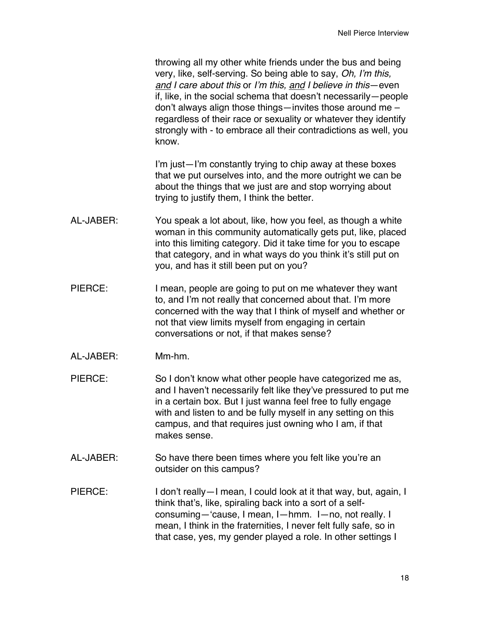throwing all my other white friends under the bus and being very, like, self-serving. So being able to say, *Oh, I'm this, and I care about this* or *I'm this, and I believe in this*—even if, like, in the social schema that doesn't necessarily—people don't always align those things—invites those around me – regardless of their race or sexuality or whatever they identify strongly with - to embrace all their contradictions as well, you know.

I'm just—I'm constantly trying to chip away at these boxes that we put ourselves into, and the more outright we can be about the things that we just are and stop worrying about trying to justify them, I think the better.

- AL-JABER: You speak a lot about, like, how you feel, as though a white woman in this community automatically gets put, like, placed into this limiting category. Did it take time for you to escape that category, and in what ways do you think it's still put on you, and has it still been put on you?
- PIERCE: I mean, people are going to put on me whatever they want to, and I'm not really that concerned about that. I'm more concerned with the way that I think of myself and whether or not that view limits myself from engaging in certain conversations or not, if that makes sense?
- AL-JABER: Mm-hm.
- PIERCE: So I don't know what other people have categorized me as, and I haven't necessarily felt like they've pressured to put me in a certain box. But I just wanna feel free to fully engage with and listen to and be fully myself in any setting on this campus, and that requires just owning who I am, if that makes sense.
- AL-JABER: So have there been times where you felt like you're an outsider on this campus?
- PIERCE: I don't really—I mean, I could look at it that way, but, again, I think that's, like, spiraling back into a sort of a selfconsuming—'cause, I mean, I—hmm. I—no, not really. I mean, I think in the fraternities, I never felt fully safe, so in that case, yes, my gender played a role. In other settings I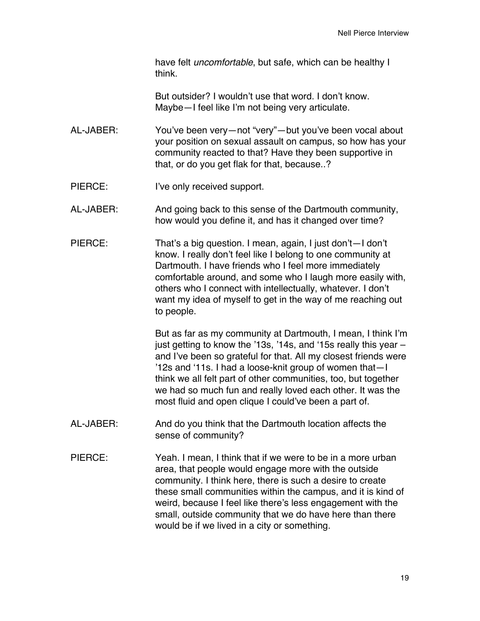have felt *uncomfortable*, but safe, which can be healthy I think.

But outsider? I wouldn't use that word. I don't know. Maybe—I feel like I'm not being very articulate.

- AL-JABER: You've been very—not "very"—but you've been vocal about your position on sexual assault on campus, so how has your community reacted to that? Have they been supportive in that, or do you get flak for that, because..?
- PIERCE: I've only received support.

AL-JABER: And going back to this sense of the Dartmouth community, how would you define it, and has it changed over time?

PIERCE: That's a big question. I mean, again, I just don't—I don't know. I really don't feel like I belong to one community at Dartmouth. I have friends who I feel more immediately comfortable around, and some who I laugh more easily with, others who I connect with intellectually, whatever. I don't want my idea of myself to get in the way of me reaching out to people.

> But as far as my community at Dartmouth, I mean, I think I'm just getting to know the '13s, '14s, and '15s really this year – and I've been so grateful for that. All my closest friends were '12s and '11s. I had a loose-knit group of women that—I think we all felt part of other communities, too, but together we had so much fun and really loved each other. It was the most fluid and open clique I could've been a part of.

- AL-JABER: And do you think that the Dartmouth location affects the sense of community?
- PIERCE: Yeah. I mean, I think that if we were to be in a more urban area, that people would engage more with the outside community. I think here, there is such a desire to create these small communities within the campus, and it is kind of weird, because I feel like there's less engagement with the small, outside community that we do have here than there would be if we lived in a city or something.